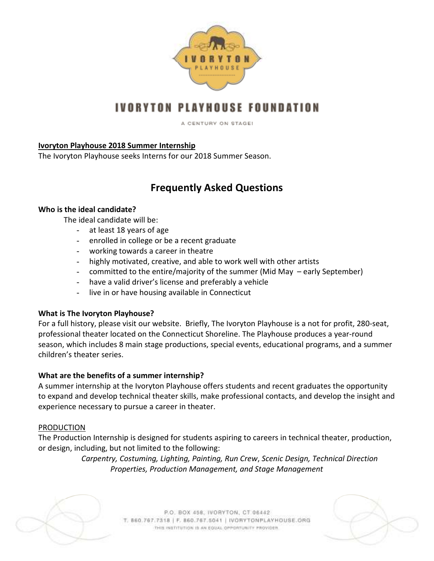

# IVORYTON PLAYHOUSE FOUNDATION

A CENTURY ON STAGEL

## **Ivoryton Playhouse 2018 Summer Internship**

The Ivoryton Playhouse seeks Interns for our 2018 Summer Season.

# **Frequently Asked Questions**

## **Who is the ideal candidate?**

The ideal candidate will be:

- at least 18 years of age
- enrolled in college or be a recent graduate
- working towards a career in theatre
- highly motivated, creative, and able to work well with other artists
- committed to the entire/majority of the summer (Mid May early September)
- have a valid driver's license and preferably a vehicle
- live in or have housing available in Connecticut

## **What is The Ivoryton Playhouse?**

For a full history, please visit our website. Briefly, The Ivoryton Playhouse is a not for profit, 280-seat, professional theater located on the Connecticut Shoreline. The Playhouse produces a year-round season, which includes 8 main stage productions, special events, educational programs, and a summer children's theater series.

## **What are the benefits of a summer internship?**

A summer internship at the Ivoryton Playhouse offers students and recent graduates the opportunity to expand and develop technical theater skills, make professional contacts, and develop the insight and experience necessary to pursue a career in theater.

#### PRODUCTION

The Production Internship is designed for students aspiring to careers in technical theater, production, or design, including, but not limited to the following:

> *Carpentry, Costuming, Lighting, Painting, Run Crew*, *Scenic Design, Technical Direction Properties, Production Management, and Stage Management*



P.O. BOX 458, IVORYTON, CT 06442 T. 860.767.7318 | F. 860.767.5041 | IVORYTONPLAYHOUSE.ORG THIS INSTITUTION IS AN EQUAL OPPORTUNITY PROVIDER.

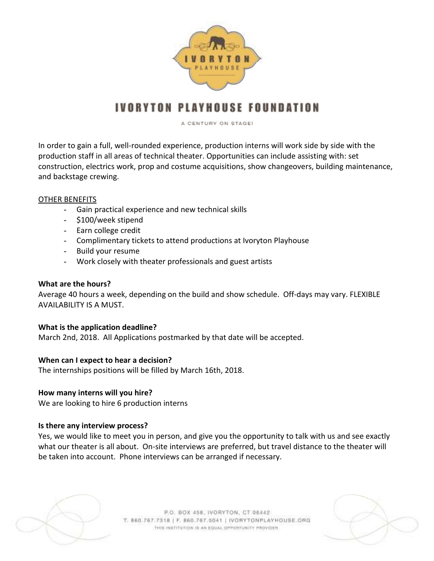

# IVORYTON PLAYHOUSE FOUNDATION

A CENTURY ON STAGE!

In order to gain a full, well-rounded experience, production interns will work side by side with the production staff in all areas of technical theater. Opportunities can include assisting with: set construction, electrics work, prop and costume acquisitions, show changeovers, building maintenance, and backstage crewing.

#### OTHER BENEFITS

- Gain practical experience and new technical skills
- \$100/week stipend
- Earn college credit
- Complimentary tickets to attend productions at Ivoryton Playhouse
- Build your resume
- Work closely with theater professionals and guest artists

## **What are the hours?**

Average 40 hours a week, depending on the build and show schedule. Off-days may vary. FLEXIBLE AVAILABILITY IS A MUST.

## **What is the application deadline?**

March 2nd, 2018. All Applications postmarked by that date will be accepted.

## **When can I expect to hear a decision?**

The internships positions will be filled by March 16th, 2018.

## **How many interns will you hire?**

We are looking to hire 6 production interns

## **Is there any interview process?**

Yes, we would like to meet you in person, and give you the opportunity to talk with us and see exactly what our theater is all about. On-site interviews are preferred, but travel distance to the theater will be taken into account. Phone interviews can be arranged if necessary.



P.O. BOX 458, IVORYTON, CT 06442 T. 860.767.7318 | F. 860.767.5041 | IVORYTONPLAYHOUSE.ORG THIS INSTITUTION IS AN EQUAL OPPORTUNITY PROVIDER.